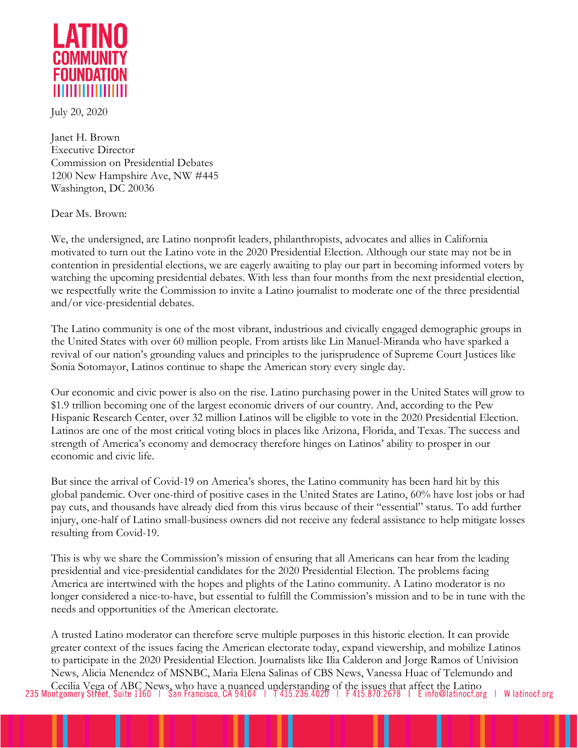

July 20, 2020

Janet H. Brown Executive Director Commission on Presidential Debates 1200 New Hampshire Ave, NW #445 Washington, DC 20036

Dear Ms. Brown:

We, the undersigned, are Latino nonprofit leaders, philanthropists, advocates and allies in California motivated to turn out the Latino vote in the 2020 Presidential Election. Although our state may not be in contention in presidential elections, we are eagerly awaiting to play our part in becoming informed voters by watching the upcoming presidential debates. With less than four months from the next presidential election, we respectfully write the Commission to invite a Latino journalist to moderate one of the three presidential and/or vice-presidential debates.

The Latino community is one of the most vibrant, industrious and civically engaged demographic groups in the United States with over 60 million people. From artists like Lin Manuel-Miranda who have sparked a revival of our nation's grounding values and principles to the jurisprudence of Supreme Court Justices like Sonia Sotomayor, Latinos continue to shape the American story every single day.

Our economic and civic power is also on the rise. Latino purchasing power in the United States will grow to \$1.9 trillion becoming one of the largest economic drivers of our country. And, according to the Pew Hispanic Research Center, over 32 million Latinos will be eligible to vote in the 2020 Presidential Election. Latinos are one of the most critical voting blocs in places like Arizona, Florida, and Texas. The success and strength of America's economy and democracy therefore hinges on Latinos' ability to prosper in our economic and civic life.

But since the arrival of Covid-19 on America's shores, the Latino community has been hard hit by this global pandemic. Over one-third of positive cases in the United States are Latino, 60% have lost jobs or had pay cuts, and thousands have already died from this virus because of their "essential" status. To add further injury, one-half of Latino small-business owners did not receive any federal assistance to help mitigate losses resulting from Covid-19.

This is why we share the Commission's mission of ensuring that all Americans can hear from the leading presidential and vice-presidential candidates for the 2020 Presidential Election. The problems facing America are intertwined with the hopes and plights of the Latino community. A Latino moderator is no longer considered a nice-to-have, but essential to fulfill the Commission's mission and to be in tune with the needs and opportunities of the American electorate.

A trusted Latino moderator can therefore serve multiple purposes in this historic election. It can provide greater context of the issues facing the American electorate today, expand viewership, and mobilize Latinos to participate in the 2020 Presidential Election. Journalists like Ilia Calderon and Jorge Ramos of Univision News, Alicia Menendez of MSNBC, Maria Elena Salinas of CBS News, Vanessa Huac of Telemundo and Cecilia Vega of ABC News, who have a nuanced understanding of the issues that affect the Latino<br>235 Montgomery Street, Suite 1160 | San Francisco, CA 94104 | T415.236.4020 | F415.870.2678 | E info@latinocf.org | W latinocf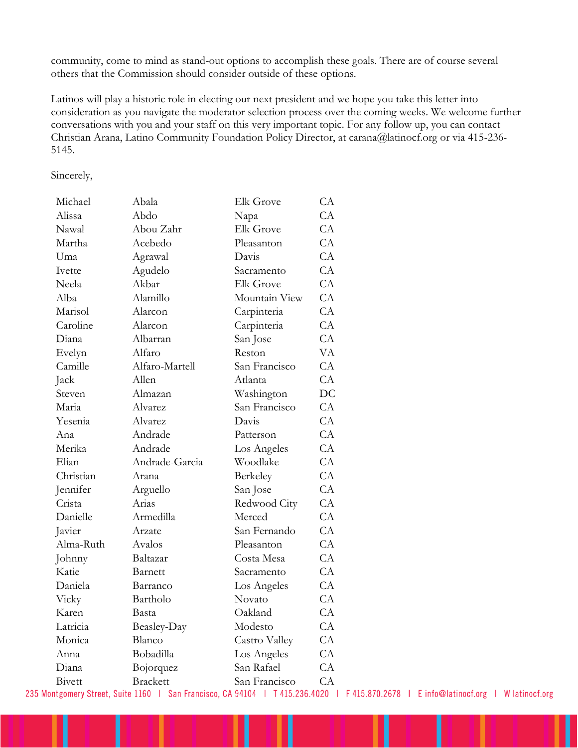community, come to mind as stand-out options to accomplish these goals. There are of course several others that the Commission should consider outside of these options.

Latinos will play a historic role in electing our next president and we hope you take this letter into consideration as you navigate the moderator selection process over the coming weeks. We welcome further conversations with you and your staff on this very important topic. For any follow up, you can contact Christian Arana, Latino Community Foundation Policy Director, at carana@latinocf.org or via 415-236- 5145.

Sincerely,

| Michael   | Abala           | Elk Grove        | CA |
|-----------|-----------------|------------------|----|
| Alissa    | Abdo            | Napa             | CA |
| Nawal     | Abou Zahr       | <b>Elk Grove</b> | CA |
| Martha    | Acebedo         | Pleasanton       | CA |
| Uma       | Agrawal         | Davis            | CA |
| Ivette    | Agudelo         | Sacramento       | CA |
| Neela     | Akbar           | <b>Elk Grove</b> | CA |
| Alba      | Alamillo        | Mountain View    | CA |
| Marisol   | Alarcon         | Carpinteria      | CA |
| Caroline  | Alarcon         | Carpinteria      | CA |
| Diana     | Albarran        | San Jose         | CA |
| Evelyn    | Alfaro          | Reston           | VA |
| Camille   | Alfaro-Martell  | San Francisco    | CA |
| Jack      | Allen           | Atlanta          | CA |
| Steven    | Almazan         | Washington       | DC |
| Maria     | Alvarez         | San Francisco    | CA |
| Yesenia   | Alvarez         | Davis            | CA |
| Ana       | Andrade         | Patterson        | CA |
| Merika    | Andrade         | Los Angeles      | CA |
| Elian     | Andrade-Garcia  | Woodlake         | CA |
| Christian | Arana           | Berkeley         | CA |
| Jennifer  | Arguello        | San Jose         | CA |
| Crista    | Arias           | Redwood City     | CA |
| Danielle  | Armedilla       | Merced           | CA |
| Javier    | Arzate          | San Fernando     | CA |
| Alma-Ruth | Avalos          | Pleasanton       | CA |
| Johnny    | Baltazar        | Costa Mesa       | CA |
| Katie     | Barnett         | Sacramento       | CA |
| Daniela   | Barranco        | Los Angeles      | CA |
| Vicky     | Bartholo        | Novato           | CA |
| Karen     | Basta           | Oakland          | CA |
| Latricia  | Beasley-Day     | Modesto          | CA |
| Monica    | Blanco          | Castro Valley    | CA |
| Anna      | Bobadilla       | Los Angeles      | CA |
| Diana     | Bojorquez       | San Rafael       | CA |
| Bivett    | <b>Brackett</b> | San Francisco    | CA |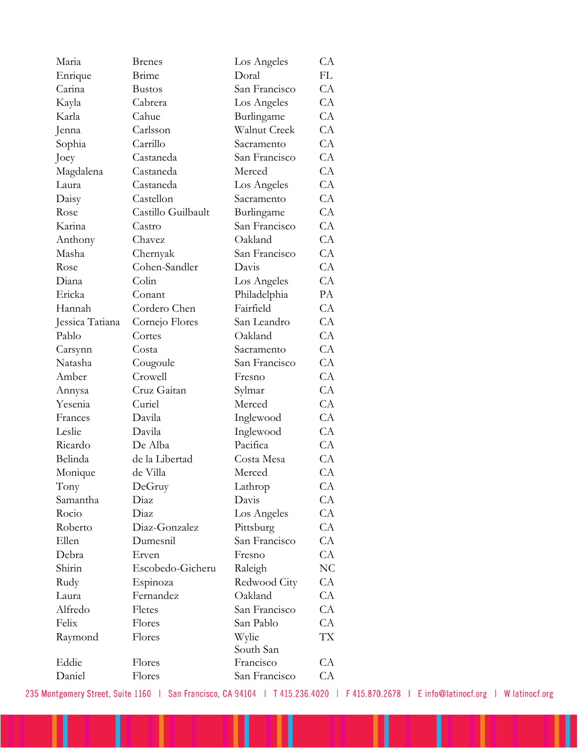| Maria           | <b>Brenes</b>      | Los Angeles   | CA             |
|-----------------|--------------------|---------------|----------------|
| Enrique         | Brime              | Doral         | FL             |
| Carina          | <b>Bustos</b>      | San Francisco | CA             |
| Kayla           | Cabrera            | Los Angeles   | CA             |
| Karla           | Cahue              | Burlingame    | CA             |
| Jenna           | Carlsson           | Walnut Creek  | CA             |
| Sophia          | Carrillo           | Sacramento    | CA             |
| Joey            | Castaneda          | San Francisco | CA             |
| Magdalena       | Castaneda          | Merced        | CA             |
| Laura           | Castaneda          | Los Angeles   | CA             |
| Daisy           | Castellon          | Sacramento    | CA             |
| Rose            | Castillo Guilbault | Burlingame    | CA             |
| Karina          | Castro             | San Francisco | CA             |
| Anthony         | Chavez             | Oakland       | CA             |
| Masha           | Chernyak           | San Francisco | CA             |
| Rose            | Cohen-Sandler      | Davis         | CA             |
| Diana           | Colin              | Los Angeles   | CA             |
| Ericka          | Conant             | Philadelphia  | PA             |
| Hannah          | Cordero Chen       | Fairfield     | CA             |
| Jessica Tatiana | Cornejo Flores     | San Leandro   | CA             |
| Pablo           | Cortes             | Oakland       | CA             |
| Carsynn         | Costa              | Sacramento    | CA             |
| Natasha         | Cougoule           | San Francisco | CA             |
| Amber           | Crowell            | Fresno        | CA             |
| Annysa          | Cruz Gaitan        | Sylmar        | CA             |
| Yesenia         | Curiel             | Merced        | CA             |
| Frances         | Davila             | Inglewood     | CA             |
| Leslie          | Davila             | Inglewood     | CA             |
| Ricardo         | De Alba            | Pacifica      | CA             |
| Belinda         | de la Libertad     | Costa Mesa    | CA             |
| Monique         | de Villa           | Merced        | CA             |
| Tony            | DeGruy             | Lathrop       | CA             |
| Samantha        | Diaz               | Davis         | CA             |
| Rocio           | Diaz               | Los Angeles   | CA             |
| Roberto         | Diaz-Gonzalez      | Pittsburg     | CA             |
| Ellen           | Dumesnil           | San Francisco | CA             |
| Debra           | Erven              | Fresno        | CA             |
| Shirin          | Escobedo-Gicheru   | Raleigh       | N <sub>C</sub> |
| Rudy            | Espinoza           | Redwood City  | CA             |
| Laura           | Fernandez          | Oakland       | CA             |
| Alfredo         | Fletes             | San Francisco | CA             |
| Felix           | Flores             | San Pablo     | CA             |
| Raymond         | Flores             | Wylie         | TX             |
|                 |                    | South San     |                |
| Eddie           | Flores             | Francisco     | CA             |
| Daniel          | Flores             | San Francisco | CA             |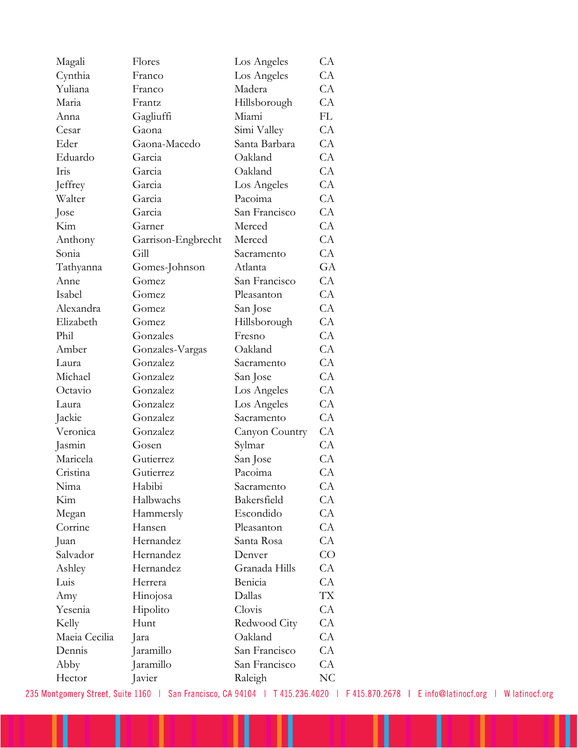| Magali        | Flores             | Los Angeles    | CA |
|---------------|--------------------|----------------|----|
| Cynthia       | Franco             | Los Angeles    | CA |
| Yuliana       | Franco             | Madera         | CA |
| Maria         | Frantz             | Hillsborough   | CA |
| Anna          | Gagliuffi          | Miami          | FL |
| Cesar         | Gaona              | Simi Valley    | CA |
| Eder          | Gaona-Macedo       | Santa Barbara  | CA |
| Eduardo       | Garcia             | Oakland        | CA |
| Iris          | Garcia             | Oakland        | CA |
| Jeffrey       | Garcia             | Los Angeles    | CA |
| Walter        | Garcia             | Pacoima        | CA |
| Jose          | Garcia             | San Francisco  | CA |
| Kim           | Garner             | Merced         | CA |
| Anthony       | Garrison-Engbrecht | Merced         | CA |
| Sonia         | Gill               | Sacramento     | CA |
| Tathyanna     | Gomes-Johnson      | Atlanta        | GA |
| Anne          | Gomez              | San Francisco  | CA |
| Isabel        | Gomez              | Pleasanton     | CA |
| Alexandra     | Gomez              | San Jose       | CA |
| Elizabeth     | Gomez              | Hillsborough   | CA |
| Phil          | Gonzales           | Fresno         | CA |
| Amber         | Gonzales-Vargas    | Oakland        | CA |
| Laura         | Gonzalez           | Sacramento     | CA |
| Michael       | Gonzalez           | San Jose       | CA |
| Octavio       | Gonzalez           | Los Angeles    | CA |
| Laura         | Gonzalez           | Los Angeles    | CA |
| Jackie        | Gonzalez           | Sacramento     | CA |
| Veronica      | Gonzalez           | Canyon Country | CA |
| Jasmin        | Gosen              | Sylmar         | CA |
| Maricela      | Gutierrez          | San Jose       | CA |
| Cristina      | Gutierrez          | Pacoima        | CA |
| Nima          | Habibi             | Sacramento     | CA |
| Kim           | Halbwachs          | Bakersfield    | CA |
| Megan         | Hammersly          | Escondido      | CA |
| Corrine       | Hansen             | Pleasanton     | CA |
| Juan          | Hernandez          | Santa Rosa     | CA |
| Salvador      | Hernandez          | Denver         | CO |
| Ashley        | Hernandez          | Granada Hills  | CA |
| Luis          | Herrera            | Benicia        | CA |
| Amy           | Hinojosa           | Dallas         | TX |
| Yesenia       | Hipolito           | Clovis         | CA |
| Kelly         | Hunt               | Redwood City   | CA |
| Maeia Cecilia | Jara               | Oakland        | CA |
| Dennis        | Jaramillo          | San Francisco  | CA |
| Abby          | Jaramillo          | San Francisco  | CA |
| Hector        | Javier             | Raleigh        | NC |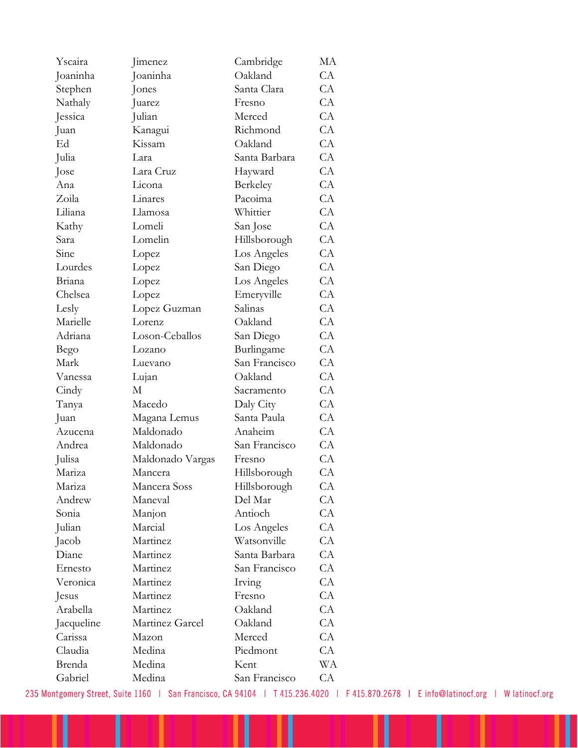| Yscaira     | Jimenez          | Cambridge     | МA |
|-------------|------------------|---------------|----|
| Joaninha    | Joaninha         | Oakland       | CA |
| Stephen     | Jones            | Santa Clara   | CA |
| Nathaly     | Juarez           | Fresno        | CA |
| Jessica     | Julian           | Merced        | CA |
| Juan        | Kanagui          | Richmond      | CA |
| Ed          | Kissam           | Oakland       | CA |
| Julia       | Lara             | Santa Barbara | CA |
| Jose        | Lara Cruz        | Hayward       | CA |
| Ana         | Licona           | Berkeley      | CA |
| Zoila       | Linares          | Pacoima       | CA |
| Liliana     | Llamosa          | Whittier      | CA |
| Kathy       | Lomeli           | San Jose      | CA |
| Sara        | Lomelin          | Hillsborough  | CA |
| Sine        | Lopez            | Los Angeles   | CA |
| Lourdes     | Lopez            | San Diego     | CA |
| Briana      | Lopez            | Los Angeles   | CA |
| Chelsea     | Lopez            | Emeryville    | CA |
| Lesly       | Lopez Guzman     | Salinas       | CA |
| Marielle    | Lorenz           | Oakland       | CA |
| Adriana     | Loson-Ceballos   | San Diego     | CA |
| <b>Bego</b> | Lozano           | Burlingame    | CA |
| Mark        | Luevano          | San Francisco | CA |
| Vanessa     | Lujan            | Oakland       | CA |
| Cindy       | М                | Sacramento    | CA |
| Tanya       | Macedo           | Daly City     | CA |
| Juan        | Magana Lemus     | Santa Paula   | CA |
| Azucena     | Maldonado        | Anaheim       | CA |
| Andrea      | Maldonado        | San Francisco | CA |
| Julisa      | Maldonado Vargas | Fresno        | CA |
| Mariza      | Mancera          | Hillsborough  | CA |
| Mariza      | Mancera Soss     | Hillsborough  | CA |
| Andrew      | Maneval          | Del Mar       | CA |
| Sonia       | Manjon           | Antioch       | CA |
| Julian      | Marcial          | Los Angeles   | CA |
| Jacob       | Martinez         | Watsonville   | CA |
| Diane       | Martinez         | Santa Barbara | CA |
| Ernesto     | Martinez         | San Francisco | CA |
| Veronica    | Martinez         | Irving        | CA |
| Jesus       | Martinez         | Fresno        | CA |
| Arabella    | Martinez         | Oakland       | CA |
| Jacqueline  | Martinez Garcel  | Oakland       | СA |
| Carissa     | Mazon            | Merced        | CA |
| Claudia     | Medina           | Piedmont      | CA |
| Brenda      | Medina           | Kent          | WA |
| Gabriel     | Medina           | San Francisco | СA |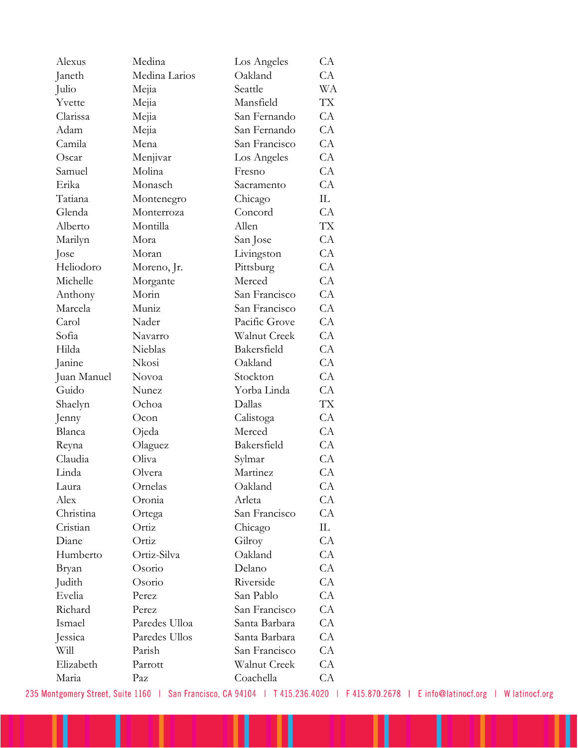| Alexus      | Medina        | Los Angeles   | CA        |
|-------------|---------------|---------------|-----------|
| Janeth      | Medina Larios | Oakland       | CA        |
| Julio       | Mejia         | Seattle       | WА        |
| Yvette      | Mejia         | Mansfield     | <b>TX</b> |
| Clarissa    | Mejia         | San Fernando  | CA        |
| Adam        | Mejia         | San Fernando  | CA        |
| Camila      | Mena          | San Francisco | CA        |
| Oscar       | Menjivar      | Los Angeles   | CA        |
| Samuel      | Molina        | Fresno        | CA        |
| Erika       | Monasch       | Sacramento    | CA        |
| Tatiana     | Montenegro    | Chicago       | IL.       |
| Glenda      | Monterroza    | Concord       | CA        |
| Alberto     | Montilla      | Allen         | <b>TX</b> |
| Marilyn     | Mora          | San Jose      | CA        |
| Jose        | Moran         | Livingston    | CA        |
| Heliodoro   | Moreno, Jr.   | Pittsburg     | CA        |
| Michelle    | Morgante      | Merced        | CA        |
| Anthony     | Morin         | San Francisco | CA        |
| Marcela     | Muniz         | San Francisco | CA        |
| Carol       | Nader         | Pacific Grove | CA        |
| Sofia       | Navarro       | Walnut Creek  | CA        |
| Hilda       | Nieblas       | Bakersfield   | CA        |
| Janine      | Nkosi         | Oakland       | CA        |
| Juan Manuel | Novoa         | Stockton      | CA        |
| Guido       | Nunez         | Yorba Linda   | CA        |
| Shaelyn     | Ochoa         | Dallas        | TX        |
| Jenny       | Ocon          | Calistoga     | CA        |
| Blanca      | Ojeda         | Merced        | CA        |
| Reyna       | Olaguez       | Bakersfield   | CA        |
| Claudia     | Oliva         | Sylmar        | CA        |
| Linda       | Olvera        | Martinez      | CA        |
| Laura       | Ornelas       | Oakland       | CA        |
| Alex        | Oronia        | Arleta        | CA        |
| Christina   | Ortega        | San Francisco | CA        |
| Cristian    | Ortiz         | Chicago       | IL.       |
| Diane       | Ortiz         | Gilroy        | CA        |
| Humberto    | Ortiz-Silva   | Oakland       | CA        |
| Bryan       | Osorio        | Delano        | CA        |
| Judith      | Osorio        | Riverside     | CA        |
| Evelia      | Perez         | San Pablo     | CA        |
| Richard     | Perez         | San Francisco | CA        |
| Ismael      | Paredes Ulloa | Santa Barbara | CA        |
| Jessica     | Paredes Ullos | Santa Barbara | CA        |
| Will        | Parish        | San Francisco | CA        |
| Elizabeth   | Parrott       | Walnut Creek  | CA        |
| Maria       | Paz           | Coachella     | CA        |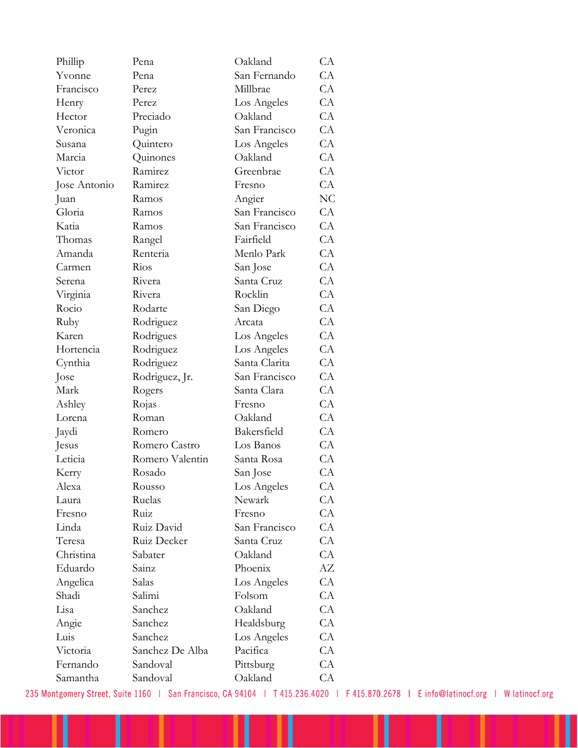| Phillip      | Pena            | Oakland       | CA |
|--------------|-----------------|---------------|----|
| Yvonne       | Pena            | San Fernando  | CA |
| Francisco    | Perez           | Millbrae      | CA |
| Henry        | Perez           | Los Angeles   | CA |
| Hector       | Preciado        | Oakland       | CA |
| Veronica     | Pugin           | San Francisco | CA |
| Susana       | Quintero        | Los Angeles   | CA |
| Marcia       | Quinones        | Oakland       | CA |
| Victor       | Ramirez         | Greenbrae     | CA |
| Jose Antonio | Ramirez         | Fresno        | CA |
| Juan         | Ramos           | Angier        | NC |
| Gloria       | Ramos           | San Francisco | CA |
| Katia        | Ramos           | San Francisco | CA |
| Thomas       | Rangel          | Fairfield     | CA |
| Amanda       | Renteria        | Menlo Park    | CA |
| Carmen       | Rios            | San Jose      | CA |
| Serena       | Rivera          | Santa Cruz    | CA |
| Virginia     | Rivera          | Rocklin       | CA |
| Rocio        | Rodarte         | San Diego     | CA |
| Ruby         | Rodriguez       | Arcata        | CA |
| Karen        | Rodrigues       | Los Angeles   | CA |
| Hortencia    | Rodriguez       | Los Angeles   | CA |
| Cynthia      | Rodriguez       | Santa Clarita | CA |
| Jose         | Rodriguez, Jr.  | San Francisco | CA |
| Mark         | Rogers          | Santa Clara   | CA |
| Ashley       | Rojas           | Fresno        | CA |
| Lorena       | Roman           | Oakland       | CA |
| Jaydi        | Romero          | Bakersfield   | CA |
| Jesus        | Romero Castro   | Los Banos     | CA |
| Leticia      | Romero Valentin | Santa Rosa    | CA |
| Kerry        | Rosado          | San Jose      | CA |
| Alexa        | Rousso          | Los Angeles   | CA |
| Laura        | Ruelas          | Newark        | CA |
| Fresno       | Ruiz            | Fresno        | CA |
| Linda        | Ruiz David      | San Francisco | CA |
| Teresa       | Ruiz Decker     | Santa Cruz    | CA |
| Christina    | Sabater         | Oakland       | CA |
| Eduardo      | Sainz           | Phoenix       | AΖ |
| Angelica     | Salas           | Los Angeles   | CA |
| Shadi        | Salimi          | Folsom        | CA |
| Lisa         | Sanchez         | Oakland       | CA |
| Angie        | Sanchez         | Healdsburg    | CA |
| Luis         | Sanchez         | Los Angeles   | CA |
| Victoria     | Sanchez De Alba | Pacifica      | CA |
| Fernando     | Sandoval        | Pittsburg     | CA |
| Samantha     | Sandoval        | Oakland       | CA |
|              |                 |               |    |